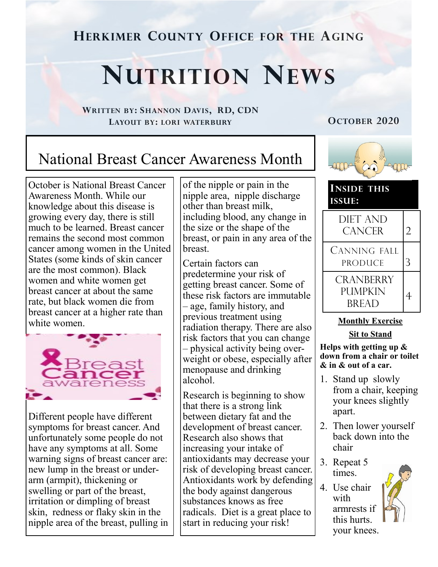**HERKIMER COUNTY OFFICE FOR THE AGING**

# **NUTRITION NEWS**

**WRITTEN BY: SHANNON DAVIS, RD, CDN LAYOUT BY: LORI WATERBURY**

**OCTOBER 2020**

# National Breast Cancer Awareness Month

October is National Breast Cancer Awareness Month. While our knowledge about this disease is growing every day, there is still much to be learned. Breast cancer remains the second most common cancer among women in the United States (some kinds of skin cancer are the most common). Black women and white women get breast cancer at about the same rate, but black women die from breast cancer at a higher rate than white women.



Different people have different symptoms for breast cancer. And unfortunately some people do not have any symptoms at all. Some warning signs of breast cancer are: new lump in the breast or underarm (armpit), thickening or swelling or part of the breast, irritation or dimpling of breast skin, redness or flaky skin in the nipple area of the breast, pulling in of the nipple or pain in the nipple area, nipple discharge other than breast milk, including blood, any change in the size or the shape of the breast, or pain in any area of the breast.

Certain factors can predetermine your risk of getting breast cancer. Some of these risk factors are immutable – age, family history, and previous treatment using radiation therapy. There are also risk factors that you can change – physical activity being overweight or obese, especially after menopause and drinking alcohol.

Research is beginning to show that there is a strong link between dietary fat and the development of breast cancer. Research also shows that increasing your intake of antioxidants may decrease your risk of developing breast cancer. Antioxidants work by defending the body against dangerous substances knows as free radicals. Diet is a great place to start in reducing your risk!



**INSIDE THIS ISSUE:**



#### **Monthly Exercise**

**Sit to Stand**

**Helps with getting up & down from a chair or toilet & in & out of a car.**

- 1. Stand up slowly from a chair, keeping your knees slightly apart.
- 2. Then lower yourself back down into the chair
- 3. Repeat 5 times.
- 4. Use chair with armrests if this hurts. your knees.

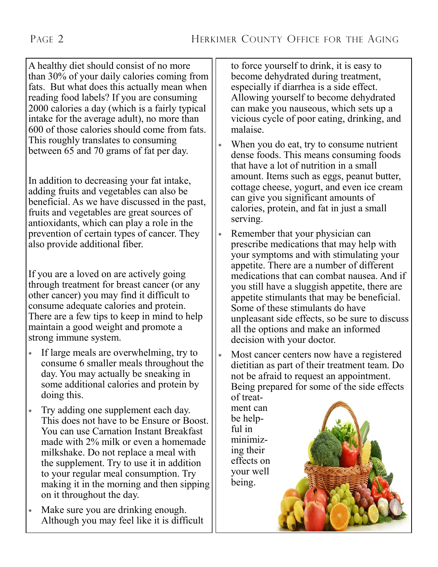A healthy diet should consist of no more than 30% of your daily calories coming from fats. But what does this actually mean when reading food labels? If you are consuming 2000 calories a day (which is a fairly typical intake for the average adult), no more than 600 of those calories should come from fats. This roughly translates to consuming between 65 and 70 grams of fat per day.

In addition to decreasing your fat intake, adding fruits and vegetables can also be beneficial. As we have discussed in the past, fruits and vegetables are great sources of antioxidants, which can play a role in the prevention of certain types of cancer. They also provide additional fiber.

If you are a loved on are actively going through treatment for breast cancer (or any other cancer) you may find it difficult to consume adequate calories and protein. There are a few tips to keep in mind to help maintain a good weight and promote a strong immune system.

- If large meals are overwhelming, try to consume 6 smaller meals throughout the day. You may actually be sneaking in some additional calories and protein by doing this.
- Try adding one supplement each day. This does not have to be Ensure or Boost. You can use Carnation Instant Breakfast made with 2% milk or even a homemade milkshake. Do not replace a meal with the supplement. Try to use it in addition to your regular meal consumption. Try making it in the morning and then sipping on it throughout the day.
- Make sure you are drinking enough. Although you may feel like it is difficult

to force yourself to drink, it is easy to become dehydrated during treatment, especially if diarrhea is a side effect. Allowing yourself to become dehydrated can make you nauseous, which sets up a vicious cycle of poor eating, drinking, and malaise.

- When you do eat, try to consume nutrient dense foods. This means consuming foods that have a lot of nutrition in a small amount. Items such as eggs, peanut butter, cottage cheese, yogurt, and even ice cream can give you significant amounts of calories, protein, and fat in just a small serving.
- Remember that your physician can prescribe medications that may help with your symptoms and with stimulating your appetite. There are a number of different medications that can combat nausea. And if you still have a sluggish appetite, there are appetite stimulants that may be beneficial. Some of these stimulants do have unpleasant side effects, so be sure to discuss all the options and make an informed decision with your doctor.
- Most cancer centers now have a registered dietitian as part of their treatment team. Do not be afraid to request an appointment. Being prepared for some of the side effects of treat-

ment can be helpful in minimizing their effects on your well being.

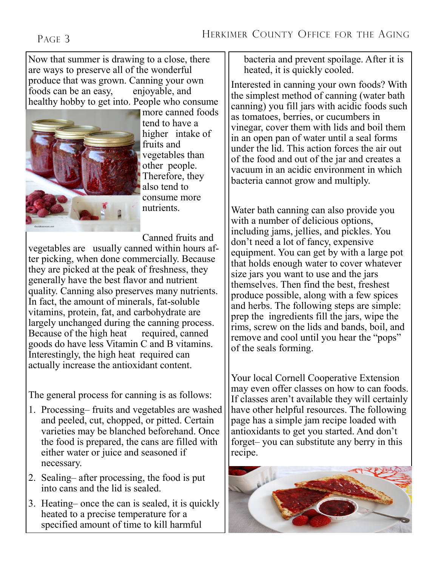### PAGE 3

Now that summer is drawing to a close, there are ways to preserve all of the wonderful produce that was grown. Canning your own foods can be an easy, enjoyable, and healthy hobby to get into. People who consume



more canned foods tend to have a higher intake of fruits and vegetables than other people. Therefore, they also tend to consume more nutrients.

Canned fruits and

vegetables are usually canned within hours after picking, when done commercially. Because they are picked at the peak of freshness, they generally have the best flavor and nutrient quality. Canning also preserves many nutrients. In fact, the amount of minerals, fat-soluble vitamins, protein, fat, and carbohydrate are largely unchanged during the canning process. Because of the high heat required, canned goods do have less Vitamin C and B vitamins. Interestingly, the high heat required can actually increase the antioxidant content.

The general process for canning is as follows:

- 1. Processing– fruits and vegetables are washed and peeled, cut, chopped, or pitted. Certain varieties may be blanched beforehand. Once the food is prepared, the cans are filled with either water or juice and seasoned if necessary.
- 2. Sealing– after processing, the food is put into cans and the lid is sealed.
- 3. Heating– once the can is sealed, it is quickly heated to a precise temperature for a specified amount of time to kill harmful

bacteria and prevent spoilage. After it is heated, it is quickly cooled.

Interested in canning your own foods? With the simplest method of canning (water bath canning) you fill jars with acidic foods such as tomatoes, berries, or cucumbers in vinegar, cover them with lids and boil them in an open pan of water until a seal forms under the lid. This action forces the air out of the food and out of the jar and creates a vacuum in an acidic environment in which bacteria cannot grow and multiply.

Water bath canning can also provide you with a number of delicious options, including jams, jellies, and pickles. You don't need a lot of fancy, expensive equipment. You can get by with a large pot that holds enough water to cover whatever size jars you want to use and the jars themselves. Then find the best, freshest produce possible, along with a few spices and herbs. The following steps are simple: prep the ingredients fill the jars, wipe the rims, screw on the lids and bands, boil, and remove and cool until you hear the "pops" of the seals forming.

Your local Cornell Cooperative Extension may even offer classes on how to can foods. If classes aren't available they will certainly have other helpful resources. The following page has a simple jam recipe loaded with antioxidants to get you started. And don't forget– you can substitute any berry in this recipe.